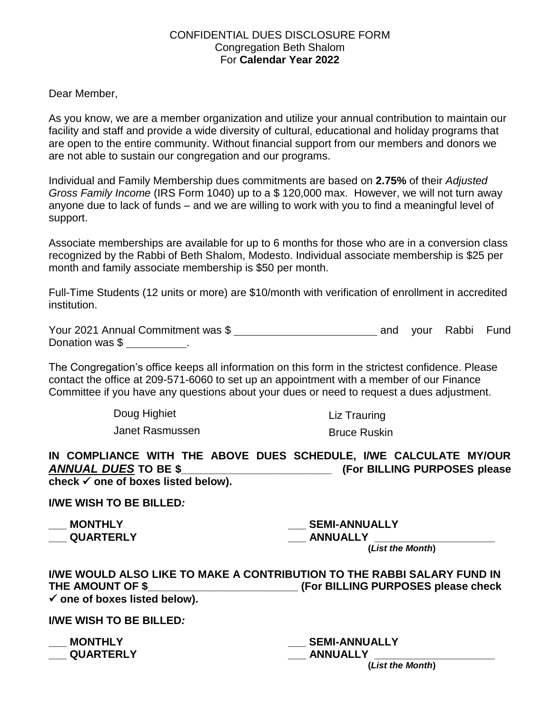## CONFIDENTIAL DUES DISCLOSURE FORM Congregation Beth Shalom For **Calendar Year 2022**

## Dear Member,

As you know, we are a member organization and utilize your annual contribution to maintain our facility and staff and provide a wide diversity of cultural, educational and holiday programs that are open to the entire community. Without financial support from our members and donors we are not able to sustain our congregation and our programs.

Individual and Family Membership dues commitments are based on **2.75%** of their *Adjusted Gross Family Income* (IRS Form 1040) up to a \$ 120,000 max. However, we will not turn away anyone due to lack of funds – and we are willing to work with you to find a meaningful level of support.

Associate memberships are available for up to 6 months for those who are in a conversion class recognized by the Rabbi of Beth Shalom, Modesto. Individual associate membership is \$25 per month and family associate membership is \$50 per month.

Full-Time Students (12 units or more) are \$10/month with verification of enrollment in accredited institution.

| Your 2021 Annual Commitment was \$ |  | and your Rabbi Fund |  |
|------------------------------------|--|---------------------|--|
| Donation was \$                    |  |                     |  |

The Congregation's office keeps all information on this form in the strictest confidence. Please contact the office at 209-571-6060 to set up an appointment with a member of our Finance Committee if you have any questions about your dues or need to request a dues adjustment.

Doug Highiet

Janet Rasmussen

Liz Trauring

Bruce Ruskin

| IN COMPLIANCE WITH THE ABOVE DUES SCHEDULE, I/WE CALCULATE MY/OUR |                               |
|-------------------------------------------------------------------|-------------------------------|
| <b>ANNUAL DUES TO BE \$</b>                                       | (For BILLING PURPOSES please) |
| check $\checkmark$ one of boxes listed below).                    |                               |

**I/WE WISH TO BE BILLED***:*

**\_\_\_ MONTHLY \_\_\_ QUARTERLY**

**\_\_\_ SEMI-ANNUALLY \_\_\_ ANNUALLY \_\_\_\_\_\_\_\_\_\_\_\_\_\_\_\_\_\_\_\_**

 **(***List the Month***)**

|                                          | I/WE WOULD ALSO LIKE TO MAKE A CONTRIBUTION TO THE RABBI SALARY FUND IN |
|------------------------------------------|-------------------------------------------------------------------------|
| THE AMOUNT OF \$                         | (For BILLING PURPOSES please check)                                     |
| $\checkmark$ one of boxes listed below). |                                                                         |

**I/WE WISH TO BE BILLED***:*

| <b>MONTHLY</b>   |
|------------------|
| <b>QUARTERLY</b> |

**\_\_\_ SEMI-ANNUALLY \_\_\_ ANNUALLY \_\_\_\_\_\_\_\_\_\_\_\_\_\_\_\_\_\_\_\_**